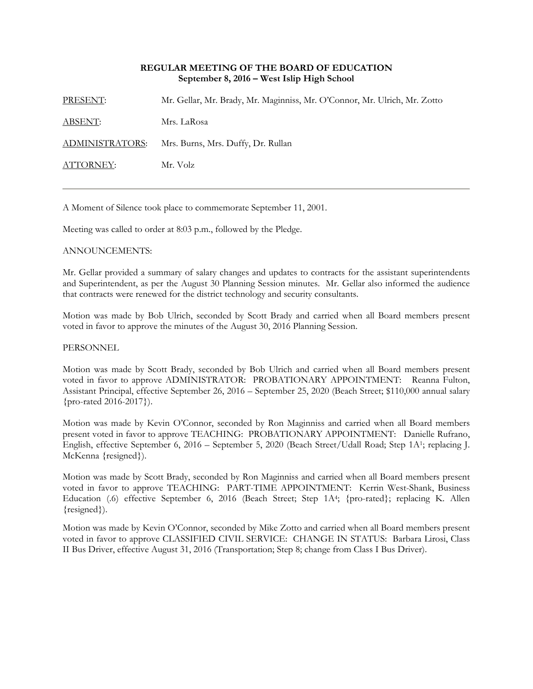## **REGULAR MEETING OF THE BOARD OF EDUCATION September 8, 2016 – West Islip High School**

PRESENT: Mr. Gellar, Mr. Brady, Mr. Maginniss, Mr. O'Connor, Mr. Ulrich, Mr. Zotto ABSENT: Mrs. LaRosa ADMINISTRATORS: Mrs. Burns, Mrs. Duffy, Dr. Rullan ATTORNEY: Mr. Volz

A Moment of Silence took place to commemorate September 11, 2001.

Meeting was called to order at 8:03 p.m., followed by the Pledge.

## ANNOUNCEMENTS:

Mr. Gellar provided a summary of salary changes and updates to contracts for the assistant superintendents and Superintendent, as per the August 30 Planning Session minutes. Mr. Gellar also informed the audience that contracts were renewed for the district technology and security consultants.

Motion was made by Bob Ulrich, seconded by Scott Brady and carried when all Board members present voted in favor to approve the minutes of the August 30, 2016 Planning Session.

#### PERSONNEL

Motion was made by Scott Brady, seconded by Bob Ulrich and carried when all Board members present voted in favor to approve ADMINISTRATOR: PROBATIONARY APPOINTMENT: Reanna Fulton, Assistant Principal, effective September 26, 2016 – September 25, 2020 (Beach Street; \$110,000 annual salary {pro-rated 2016-2017}).

Motion was made by Kevin O'Connor, seconded by Ron Maginniss and carried when all Board members present voted in favor to approve TEACHING: PROBATIONARY APPOINTMENT: Danielle Rufrano, English, effective September 6, 2016 – September 5, 2020 (Beach Street/Udall Road; Step 1A1; replacing J. McKenna {resigned}).

Motion was made by Scott Brady, seconded by Ron Maginniss and carried when all Board members present voted in favor to approve TEACHING: PART-TIME APPOINTMENT: Kerrin West-Shank, Business Education (.6) effective September 6, 2016 (Beach Street; Step 1A4; {pro-rated}; replacing K. Allen {resigned}).

Motion was made by Kevin O'Connor, seconded by Mike Zotto and carried when all Board members present voted in favor to approve CLASSIFIED CIVIL SERVICE: CHANGE IN STATUS: Barbara Lirosi, Class II Bus Driver, effective August 31, 2016 (Transportation; Step 8; change from Class I Bus Driver).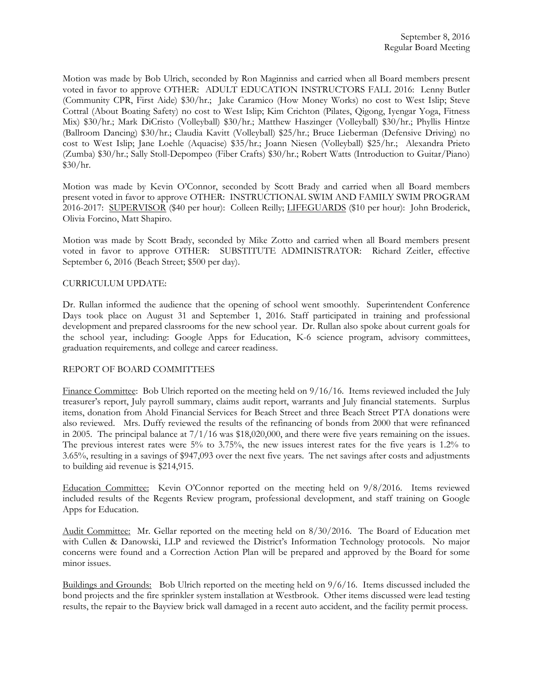Motion was made by Bob Ulrich, seconded by Ron Maginniss and carried when all Board members present voted in favor to approve OTHER: ADULT EDUCATION INSTRUCTORS FALL 2016: Lenny Butler (Community CPR, First Aide) \$30/hr.; Jake Caramico (How Money Works) no cost to West Islip; Steve Cottral (About Boating Safety) no cost to West Islip; Kim Crichton (Pilates, Qigong, Iyengar Yoga, Fitness Mix) \$30/hr.; Mark DiCristo (Volleyball) \$30/hr.; Matthew Haszinger (Volleyball) \$30/hr.; Phyllis Hintze (Ballroom Dancing) \$30/hr.; Claudia Kavitt (Volleyball) \$25/hr.; Bruce Lieberman (Defensive Driving) no cost to West Islip; Jane Loehle (Aquacise) \$35/hr.; Joann Niesen (Volleyball) \$25/hr.; Alexandra Prieto (Zumba) \$30/hr.; Sally Stoll-Depompeo (Fiber Crafts) \$30/hr.; Robert Watts (Introduction to Guitar/Piano)  $$30/hr.$ 

Motion was made by Kevin O'Connor, seconded by Scott Brady and carried when all Board members present voted in favor to approve OTHER: INSTRUCTIONAL SWIM AND FAMILY SWIM PROGRAM 2016-2017: SUPERVISOR (\$40 per hour): Colleen Reilly; LIFEGUARDS (\$10 per hour): John Broderick, Olivia Forcino, Matt Shapiro.

Motion was made by Scott Brady, seconded by Mike Zotto and carried when all Board members present voted in favor to approve OTHER: SUBSTITUTE ADMINISTRATOR: Richard Zeitler, effective September 6, 2016 (Beach Street; \$500 per day).

#### CURRICULUM UPDATE:

Dr. Rullan informed the audience that the opening of school went smoothly. Superintendent Conference Days took place on August 31 and September 1, 2016. Staff participated in training and professional development and prepared classrooms for the new school year. Dr. Rullan also spoke about current goals for the school year, including: Google Apps for Education, K-6 science program, advisory committees, graduation requirements, and college and career readiness.

#### REPORT OF BOARD COMMITTEES

Finance Committee: Bob Ulrich reported on the meeting held on 9/16/16. Items reviewed included the July treasurer's report, July payroll summary, claims audit report, warrants and July financial statements. Surplus items, donation from Ahold Financial Services for Beach Street and three Beach Street PTA donations were also reviewed. Mrs. Duffy reviewed the results of the refinancing of bonds from 2000 that were refinanced in 2005. The principal balance at 7/1/16 was \$18,020,000, and there were five years remaining on the issues. The previous interest rates were 5% to 3.75%, the new issues interest rates for the five years is 1.2% to 3.65%, resulting in a savings of \$947,093 over the next five years. The net savings after costs and adjustments to building aid revenue is \$214,915.

Education Committee: Kevin O'Connor reported on the meeting held on 9/8/2016. Items reviewed included results of the Regents Review program, professional development, and staff training on Google Apps for Education.

Audit Committee: Mr. Gellar reported on the meeting held on 8/30/2016. The Board of Education met with Cullen & Danowski, LLP and reviewed the District's Information Technology protocols. No major concerns were found and a Correction Action Plan will be prepared and approved by the Board for some minor issues.

Buildings and Grounds: Bob Ulrich reported on the meeting held on 9/6/16. Items discussed included the bond projects and the fire sprinkler system installation at Westbrook. Other items discussed were lead testing results, the repair to the Bayview brick wall damaged in a recent auto accident, and the facility permit process.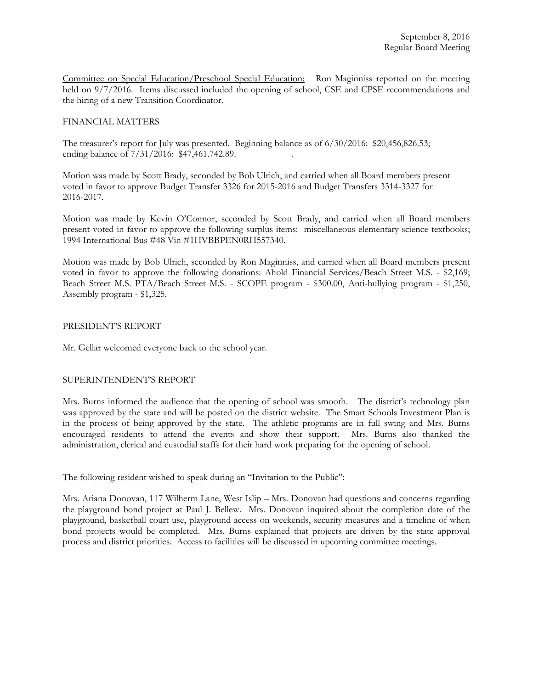Committee on Special Education/Preschool Special Education: Ron Maginniss reported on the meeting held on 9/7/2016. Items discussed included the opening of school, CSE and CPSE recommendations and the hiring of a new Transition Coordinator.

### FINANCIAL MATTERS

The treasurer's report for July was presented. Beginning balance as of 6/30/2016: \$20,456,826.53; ending balance of  $7/31/2016$ : \$47,461.742.89.

Motion was made by Scott Brady, seconded by Bob Ulrich, and carried when all Board members present voted in favor to approve Budget Transfer 3326 for 2015-2016 and Budget Transfers 3314-3327 for 2016-2017.

Motion was made by Kevin O'Connor, seconded by Scott Brady, and carried when all Board members present voted in favor to approve the following surplus items: miscellaneous elementary science textbooks; 1994 International Bus #48 Vin #1HVBBPEN0RH557340.

Motion was made by Bob Ulrich, seconded by Ron Maginniss, and carried when all Board members present voted in favor to approve the following donations: Ahold Financial Services/Beach Street M.S. - \$2,169; Beach Street M.S. PTA/Beach Street M.S. - SCOPE program - \$300.00, Anti-bullying program - \$1,250, Assembly program - \$1,325.

#### PRESIDENT'S REPORT

Mr. Gellar welcomed everyone back to the school year.

# SUPERINTENDENT'S REPORT

Mrs. Burns informed the audience that the opening of school was smooth. The district's technology plan was approved by the state and will be posted on the district website. The Smart Schools Investment Plan is in the process of being approved by the state. The athletic programs are in full swing and Mrs. Burns encouraged residents to attend the events and show their support. Mrs. Burns also thanked the administration, clerical and custodial staffs for their hard work preparing for the opening of school.

The following resident wished to speak during an "Invitation to the Public":

Mrs. Ariana Donovan, 117 Wilherm Lane, West Islip – Mrs. Donovan had questions and concerns regarding the playground bond project at Paul J. Bellew. Mrs. Donovan inquired about the completion date of the playground, basketball court use, playground access on weekends, security measures and a timeline of when bond projects would be completed. Mrs. Burns explained that projects are driven by the state approval process and district priorities. Access to facilities will be discussed in upcoming committee meetings.